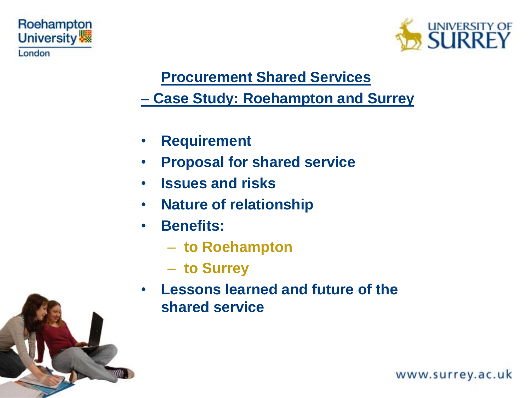



#### **Procurement Shared Services**

#### **– Case Study: Roehampton and Surrey**

- **Requirement**
- **Proposal for shared service**
- **Issues and risks**
- **Nature of relationship**
- **Benefits:**
	- **to Roehampton**
	- **to Surrey**
- **Lessons learned and future of the shared service**



www.surrey.ac.uk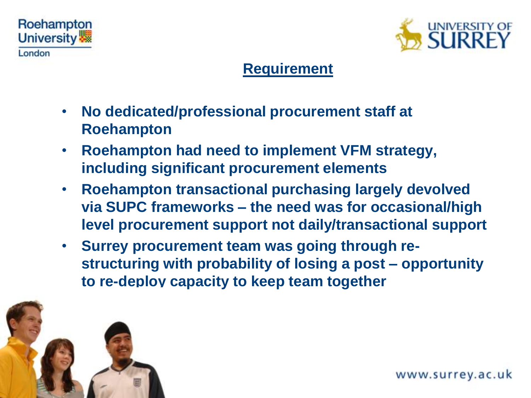



## **Requirement**

- **No dedicated/professional procurement staff at Roehampton**
- **Roehampton had need to implement VFM strategy, including significant procurement elements**
- **Roehampton transactional purchasing largely devolved via SUPC frameworks – the need was for occasional/high level procurement support not daily/transactional support**
- **Surrey procurement team was going through restructuring with probability of losing a post – opportunity to re-deploy capacity to keep team together**

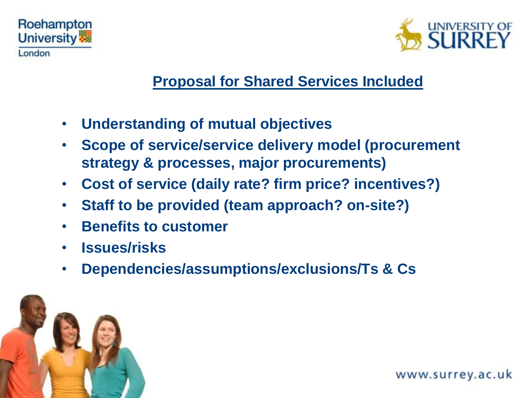



#### **Proposal for Shared Services Included**

- **Understanding of mutual objectives**
- **Scope of service/service delivery model (procurement strategy & processes, major procurements)**
- **Cost of service (daily rate? firm price? incentives?)**
- **Staff to be provided (team approach? on-site?)**
- **Benefits to customer**
- **Issues/risks**
- **Dependencies/assumptions/exclusions/Ts & Cs**



www.surrey.ac.uk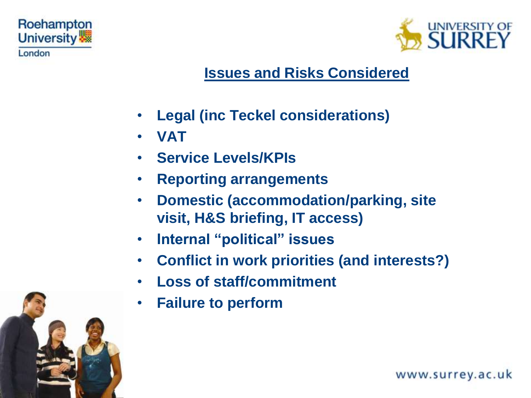



## **Issues and Risks Considered**

- **Legal (inc Teckel considerations)**
- **VAT**
- **Service Levels/KPIs**
- **Reporting arrangements**
- **Domestic (accommodation/parking, site visit, H&S briefing, IT access)**
- **Internal "political" issues**
- **Conflict in work priorities (and interests?)**
- **Loss of staff/commitment**
- **Failure to perform**



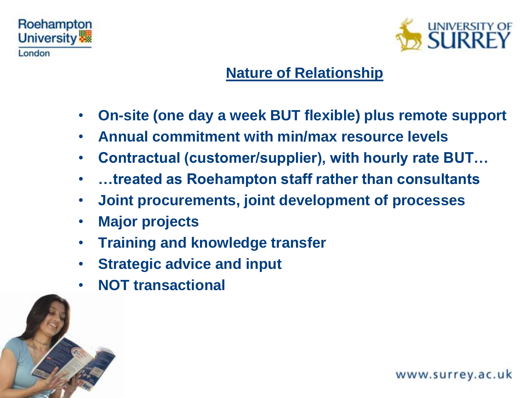



## **Nature of Relationship**

- **On-site (one day a week BUT flexible) plus remote support**
- **Annual commitment with min/max resource levels**
- **Contractual (customer/supplier), with hourly rate BUT…**
- **…treated as Roehampton staff rather than consultants**
- **Joint procurements, joint development of processes**
- **Major projects**
- **Training and knowledge transfer**
- **Strategic advice and input**
- **NOT transactional**

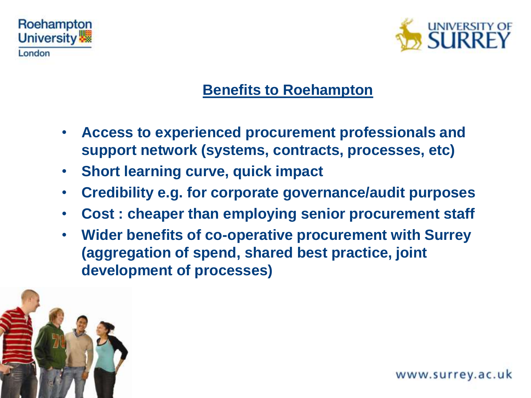



## **Benefits to Roehampton**

- **Access to experienced procurement professionals and support network (systems, contracts, processes, etc)**
- **Short learning curve, quick impact**
- **Credibility e.g. for corporate governance/audit purposes**
- **Cost : cheaper than employing senior procurement staff**
- **Wider benefits of co-operative procurement with Surrey (aggregation of spend, shared best practice, joint development of processes)**

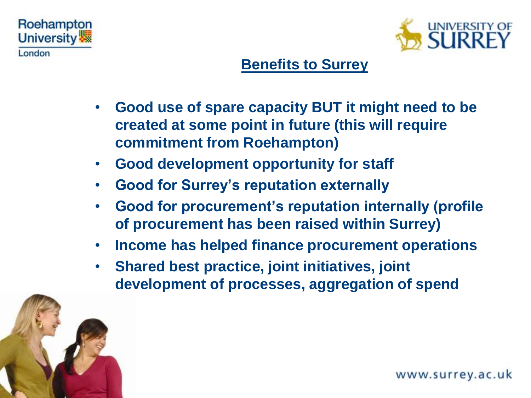



# **Benefits to Surrey**

- **Good use of spare capacity BUT it might need to be created at some point in future (this will require commitment from Roehampton)**
- **Good development opportunity for staff**
- **Good for Surrey's reputation externally**
- **Good for procurement's reputation internally (profile of procurement has been raised within Surrey)**
- **Income has helped finance procurement operations**
- **Shared best practice, joint initiatives, joint development of processes, aggregation of spend**